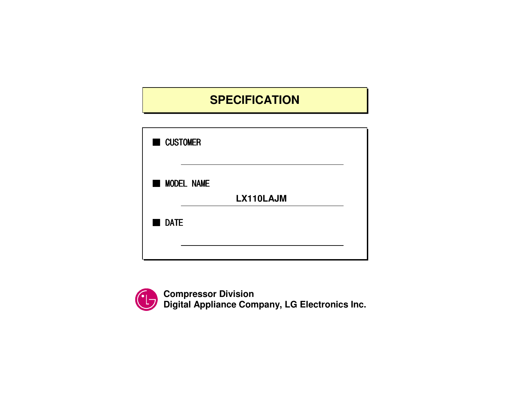# **SPECIFICATION**

| <b>CUSTOMER</b>   |  |
|-------------------|--|
| <b>MODEL NAME</b> |  |
| LX110LAJM         |  |
| <b>DATE</b>       |  |
|                   |  |



**Compressor Division Digital Appliance Company, LG Electronics Inc.**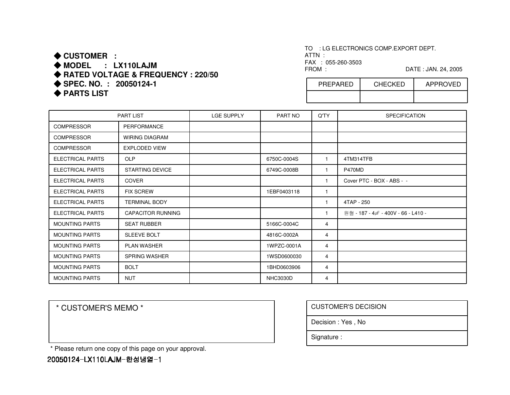### ◆ **CUSTOMER :** ◆ MODEL : LX110LAJM **MODEL : LX110LAJM** ◆ **RATED VOLTAGE & FREQUENCY : 220/50** ◆ **SPEC. NO. : 20050124-1**

◆ **PARTS LIST** 

TO : LG ELECTRONICS COMP.EXPORT DEPT. ATTN : FAX : 055-260-3503

FROM : DATE : JAN. 24, 2005

| PREPARED | <b>CHECKED</b> | <b>APPROVED</b> |
|----------|----------------|-----------------|
|          |                |                 |

|                         | <b>PART LIST</b>         | <b>LGE SUPPLY</b> | PART NO         | Q'TY         | <b>SPECIFICATION</b>               |
|-------------------------|--------------------------|-------------------|-----------------|--------------|------------------------------------|
| <b>COMPRESSOR</b>       | <b>PERFORMANCE</b>       |                   |                 |              |                                    |
| <b>COMPRESSOR</b>       | <b>WIRING DIAGRAM</b>    |                   |                 |              |                                    |
| <b>COMPRESSOR</b>       | <b>EXPLODED VIEW</b>     |                   |                 |              |                                    |
| <b>ELECTRICAL PARTS</b> | <b>OLP</b>               |                   | 6750C-0004S     | $\mathbf{1}$ | 4TM314TFB                          |
| <b>ELECTRICAL PARTS</b> | <b>STARTING DEVICE</b>   |                   | 6749C-0008B     | 1            | P470MD                             |
| <b>ELECTRICAL PARTS</b> | <b>COVER</b>             |                   |                 | 1            | Cover PTC - BOX - ABS - -          |
| <b>ELECTRICAL PARTS</b> | <b>FIX SCREW</b>         |                   | 1EBF0403118     | $\mathbf{1}$ |                                    |
| <b>ELECTRICAL PARTS</b> | <b>TERMINAL BODY</b>     |                   |                 | $\mathbf{1}$ | 4TAP - 250                         |
| <b>ELECTRICAL PARTS</b> | <b>CAPACITOR RUNNING</b> |                   |                 | 1            | 원형 - 187 - 4  - 400V - 66 - L410 - |
| <b>MOUNTING PARTS</b>   | <b>SEAT RUBBER</b>       |                   | 5166C-0004C     | 4            |                                    |
| <b>MOUNTING PARTS</b>   | SLEEVE BOLT              |                   | 4816C-0002A     | 4            |                                    |
| <b>MOUNTING PARTS</b>   | PLAN WASHER              |                   | 1WPZC-0001A     | 4            |                                    |
| <b>MOUNTING PARTS</b>   | <b>SPRING WASHER</b>     |                   | 1WSD0600030     | 4            |                                    |
| <b>MOUNTING PARTS</b>   | <b>BOLT</b>              |                   | 1BHD0603906     | 4            |                                    |
| <b>MOUNTING PARTS</b>   | <b>NUT</b>               |                   | <b>NHC3030D</b> | 4            |                                    |

\* CUSTOMER'S MEMO \*

| <b>CUSTOMER'S DECISION</b> |
|----------------------------|
| Decision: Yes, No          |
| Signature:                 |

\* Please return one copy of this page on your approval.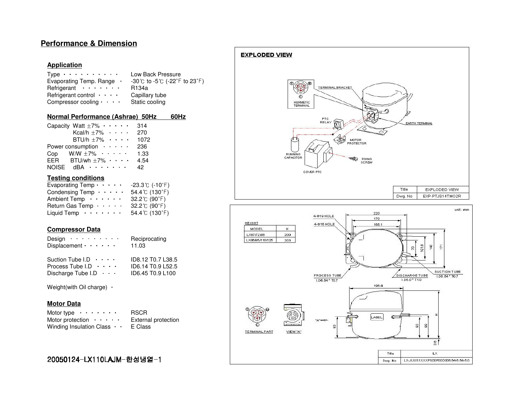### **Performance & Dimension**

#### **Application**

| Type $\cdots \cdots \cdots$  | Low Back Pressure                                                    |
|------------------------------|----------------------------------------------------------------------|
| Evaporating Temp. Range .    | $-30^{\circ}$ C to $-5^{\circ}$ ( $-22^{\circ}$ F to $23^{\circ}$ F) |
| Refrigerant $\cdots$         | R134a                                                                |
| Refrigerant control $\cdots$ | Capillary tube                                                       |
| Compressor cooling $\cdots$  | Static cooling                                                       |

#### **Normal Performance (Ashrae) 50Hz 60Hz**

|              | Capacity Watt $\pm 7\% \cdot \cdot \cdot \cdot$ | 314  |
|--------------|-------------------------------------------------|------|
|              | Kcal/h $\pm 7\%$ $\cdots$ $\cdots$              | 270  |
|              | BTU/h $\pm 7\%$ $\cdots$                        | 1072 |
|              | Power consumption $\cdots$                      | 236  |
|              | Cop W/W $\pm 7\%$ $\cdots$ .                    | 1.33 |
|              | EER BTU/wh $\pm 7\% \cdot \cdot \cdot$          | 4.54 |
| <b>NOISE</b> | dBA ·······                                     | 42   |

#### **Testing conditions**

| Evaporating Temp $\cdots$ . | $-23.3$ °C (-10 $\degree$ F)     |
|-----------------------------|----------------------------------|
| Condensing Temp $\cdots$ .  | 54.4°C (130°F)                   |
| Ambient Temp $\cdots$ .     | $32.2^{\circ}$ (90 $^{\circ}$ F) |
| Return Gas Temp $\cdots$ .  | $32.2^{\circ}$ (90 $^{\circ}$ F) |
| Liquid Temp $\cdots \cdots$ | 54.4 $C(130^{\circ}F)$           |
|                             |                                  |

#### **Compressor Data**

| Design $\cdots$<br>Displacement $\cdots$ . | Reciprocating<br>11.03 |
|--------------------------------------------|------------------------|
| Suction Tube I.D $\cdots$                  | ID8.12 T0.7 L38.5      |
| Process Tube $I.D \cdot \cdot \cdot \cdot$ | ID6.14 T0.9 L52.5      |
| Discharge Tube I.D $\cdots$                | ID6.45 T0.9 L100       |

Weight(with Oil charge) •

#### **Motor Data**

| Motor type $\cdots \cdots$             | <b>RSCR</b>                |
|----------------------------------------|----------------------------|
| Motor protection $\cdots$ .            | <b>External protection</b> |
| Winding Insulation Class $\cdot \cdot$ | E Class                    |

#### **EXPLODED VIEW** 鹽 TERMINAL BRACKET  $\overline{\circlearrowright}$ HERMETIC<br>TERMINAL PTC<br>RELAY পি EARTH TERMINAL MOTOR<br>PROTECTOR ≪ RUNNING<br>CAPACITOR ÷® FIXING<br>SCRBM COVER PTC Title EXPLODED VIEW EXP-PTJS14TMO2R Dwg. No  $unit : mm$ 220  $4$   $\Phi$ 19 HOLE 170 **HEIGHT** 4-016 HOLE 165.1  $\mathsf{H}$ MODEL LX67/72/86 200 LX96/95/110/125 203  $01.6$  $\frac{9}{2}$ Ē  $\mathbb{R}$ SUCTION TUBE PROCESS TUBE  $\sqrt{\frac{\text{DISCHARGE TUBE}}{\text{LDS.0*T4.0}}}$  $1.06.54 * T0.7$  $1.06.64 * T0.7$ 196.4 LABEL  $\epsilon$ "A"== 8  $\mathbf{g}$ 2 **TERMINAL PART** VIEW "A"

 $\frac{6}{5}$ 

 $L \times$ LX-JUUS1XXXPS00P00D006.546.545.0

Title

Dwg. No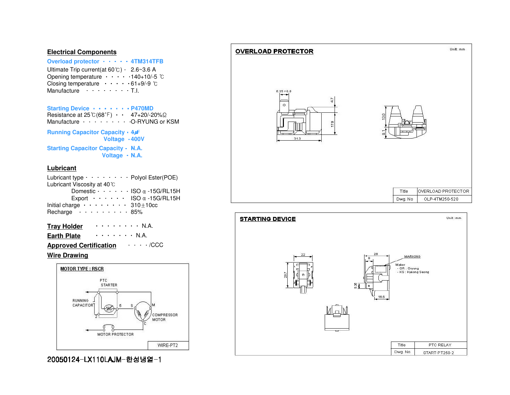#### **Electrical Components**

# **Overload protector** ㆍㆍㆍㆍㆍ **4TM314TFB**

Ultimate Trip current(at 60℃)ㆍ2.6~3.6 A Opening temperature ㆍㆍㆍㆍㆍ 140+10/-5 ℃Closing temperature  $\cdots \cdots 61+9/9$   $\degree$ C Manufacture ㆍㆍㆍㆍㆍㆍㆍㆍT.I.

#### **Starting Device** ㆍㆍㆍㆍㆍㆍㆍ**P470MD** Resistance at 25℃(68℉) ㆍㆍ47+20/-20%Ω Manufacture ㆍㆍㆍㆍㆍㆍㆍㆍㆍ O-RYUNG or KSM**Running Capacitor Capacity ・ 4***山*  **Voltage** ㆍㆍ **400VStarting Capacitor Capacity**ㆍㆍ**N.A.**

**Voltage** ㆍㆍ **N.A.**

#### **Lubricant**

| Lubricant type $\cdots \cdots \cdots$ Polyol Ester(POE) |  |
|---------------------------------------------------------|--|
| Lubricant Viscosity at 40 °C                            |  |
| Domestic $\cdots$ $\cdots$ ISO $\alpha$ -15G/RL15H      |  |
| Export $\cdots$ $\cdots$ ISO $\alpha$ -15G/RL15H        |  |
| Initial charge $\cdots \cdots \cdots$ 310 $\pm$ 10cc    |  |
| Recharge 85%                                            |  |
|                                                         |  |

# **Tray Holder** ㆍㆍㆍㆍㆍㆍㆍㆍ N.A.

#### **Earth Plate**  $\cdots$  . . . . N.A.

### **Approved Certification** ㆍㆍㆍㆍ/CCC

#### **Wire Drawing**